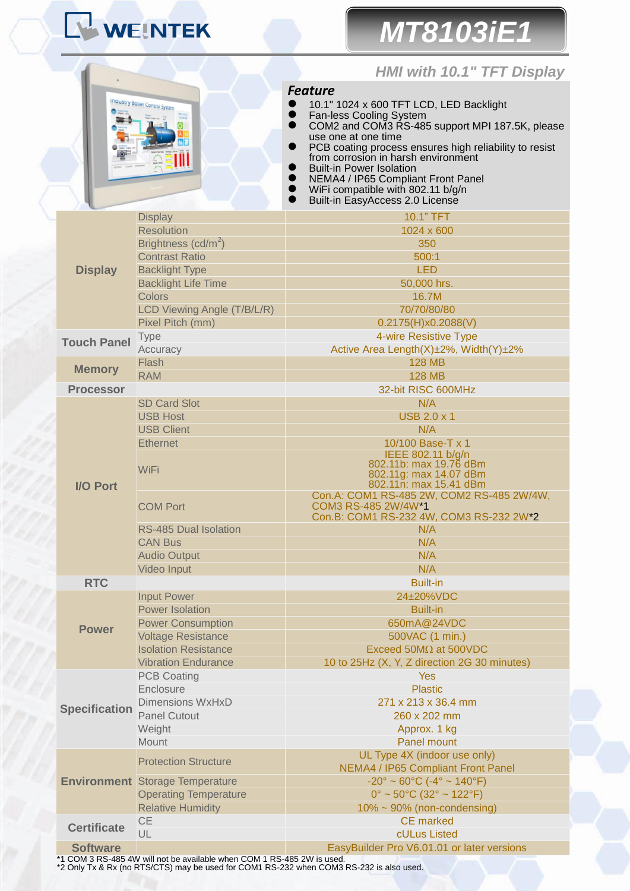# WEINTEK

# *MT8103iE1*

## *HMI with 10.1" TFT Display*

| industry Boller Control System<br><b>Hotel Prompt</b> |                   |        |                 |  |
|-------------------------------------------------------|-------------------|--------|-----------------|--|
|                                                       |                   | $\sim$ | 24292<br>135428 |  |
|                                                       |                   |        |                 |  |
|                                                       |                   |        | ōō              |  |
|                                                       | <b>Select</b>     |        |                 |  |
| 19.64.78                                              | <b>Hill Safer</b> |        |                 |  |
| vorcent                                               |                   |        | 70.01<br>v.     |  |

*Feature*

- <sup>10.1"</sup> 1024 x 600 TFT LCD, LED Backlight
- **•** Fan-less Cooling System
- COM2 and COM3 RS-485 support MPI 187.5K, please use one at one time
- **•** PCB coating process ensures high reliability to resist from corrosion in harsh environment
- **•** Built-in Power Isolation
- NEMA4 / IP65 Compliant Front Panel
- WiFi compatible with 802.11 b/g/n **Built-in EasyAccess 2.0 License**

|                      | <b>Display</b>                                                                             | 10.1" TFT                                                          |  |  |
|----------------------|--------------------------------------------------------------------------------------------|--------------------------------------------------------------------|--|--|
|                      | <b>Resolution</b>                                                                          | 1024 x 600                                                         |  |  |
|                      | Brightness (cd/m <sup>2</sup> )                                                            | 350                                                                |  |  |
|                      | <b>Contrast Ratio</b>                                                                      | 500:1                                                              |  |  |
| <b>Display</b>       | <b>Backlight Type</b>                                                                      | <b>LED</b>                                                         |  |  |
|                      | <b>Backlight Life Time</b>                                                                 | 50,000 hrs.                                                        |  |  |
|                      | <b>Colors</b>                                                                              | 16.7M                                                              |  |  |
|                      | LCD Viewing Angle (T/B/L/R)                                                                | 70/70/80/80                                                        |  |  |
|                      | Pixel Pitch (mm)                                                                           | 0.2175(H)x0.2088(V)                                                |  |  |
| <b>Touch Panel</b>   | <b>Type</b>                                                                                | 4-wire Resistive Type                                              |  |  |
|                      | Accuracy                                                                                   | Active Area Length(X)±2%, Width(Y)±2%                              |  |  |
| <b>Memory</b>        | Flash                                                                                      | <b>128 MB</b>                                                      |  |  |
|                      | <b>RAM</b>                                                                                 | <b>128 MB</b>                                                      |  |  |
| <b>Processor</b>     |                                                                                            | 32-bit RISC 600MHz                                                 |  |  |
|                      | <b>SD Card Slot</b>                                                                        | N/A                                                                |  |  |
|                      | <b>USB Host</b>                                                                            | <b>USB 2.0 x 1</b>                                                 |  |  |
|                      | <b>USB Client</b>                                                                          | N/A                                                                |  |  |
|                      | <b>Ethernet</b>                                                                            | 10/100 Base-T x 1                                                  |  |  |
|                      |                                                                                            | IEEE 802.11 b/g/n<br>802.11b: max 19.76 dBm                        |  |  |
|                      | <b>WiFi</b>                                                                                | 802.11g: max 14.07 dBm                                             |  |  |
| <b>I/O Port</b>      |                                                                                            | 802.11n: max 15.41 dBm                                             |  |  |
|                      |                                                                                            | Con.A: COM1 RS-485 2W, COM2 RS-485 2W/4W,                          |  |  |
|                      | <b>COM Port</b>                                                                            | COM3 RS-485 2W/4W*1<br>Con.B: COM1 RS-232 4W, COM3 RS-232 2W*2     |  |  |
|                      |                                                                                            |                                                                    |  |  |
|                      | <b>RS-485 Dual Isolation</b><br>N/A<br><b>CAN Bus</b><br>N/A<br>N/A<br><b>Audio Output</b> |                                                                    |  |  |
|                      |                                                                                            |                                                                    |  |  |
|                      | Video Input                                                                                | N/A                                                                |  |  |
| <b>RTC</b>           |                                                                                            | <b>Built-in</b>                                                    |  |  |
|                      | <b>Input Power</b>                                                                         | 24±20%VDC                                                          |  |  |
|                      | <b>Power Isolation</b>                                                                     | <b>Built-in</b>                                                    |  |  |
|                      | <b>Power Consumption</b>                                                                   | 650mA@24VDC                                                        |  |  |
| <b>Power</b>         | <b>Voltage Resistance</b>                                                                  | 500VAC (1 min.)                                                    |  |  |
|                      | <b>Isolation Resistance</b>                                                                | Exceed 50M $\Omega$ at 500VDC                                      |  |  |
|                      | <b>Vibration Endurance</b>                                                                 | 10 to 25Hz (X, Y, Z direction 2G 30 minutes)                       |  |  |
|                      | <b>PCB Coating</b>                                                                         | <b>Yes</b>                                                         |  |  |
|                      | Enclosure                                                                                  | <b>Plastic</b>                                                     |  |  |
| <b>Specification</b> | <b>Dimensions WxHxD</b>                                                                    | 271 x 213 x 36.4 mm                                                |  |  |
|                      | <b>Panel Cutout</b>                                                                        | 260 x 202 mm                                                       |  |  |
|                      | Weight                                                                                     | Approx. 1 kg                                                       |  |  |
|                      | Mount                                                                                      | Panel mount                                                        |  |  |
|                      |                                                                                            | UL Type 4X (indoor use only)                                       |  |  |
|                      | <b>Protection Structure</b>                                                                | NEMA4 / IP65 Compliant Front Panel                                 |  |  |
|                      | <b>Environment</b> Storage Temperature                                                     | $-20^{\circ} \sim 60^{\circ}$ C ( $-4^{\circ} \sim 140^{\circ}$ F) |  |  |
|                      | <b>Operating Temperature</b>                                                               | $0^{\circ}$ ~ 50 $^{\circ}$ C (32 $^{\circ}$ ~ 122 $^{\circ}$ F)   |  |  |
|                      | <b>Relative Humidity</b>                                                                   | $10\% \sim 90\%$ (non-condensing)                                  |  |  |
|                      | <b>CE</b>                                                                                  | <b>CE</b> marked                                                   |  |  |
| <b>Certificate</b>   | UL                                                                                         | cULus Listed                                                       |  |  |
| <b>Software</b>      |                                                                                            | EasyBuilder Pro V6.01.01 or later versions                         |  |  |
|                      |                                                                                            |                                                                    |  |  |

\*1 COM 3 RS-485 4W will not be available when COM 1 RS-485 2W is used. \*2 Only Tx & Rx (no RTS/CTS) may be used for COM1 RS-232 when COM3 RS-232 is also used.